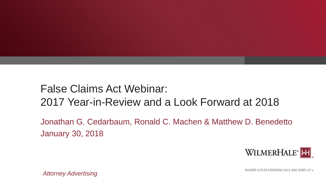

### False Claims Act Webinar: 2017 Year-in-Review and a Look Forward at 2018

Jonathan G. Cedarbaum, Ronald C. Machen & Matthew D. Benedetto January 30, 2018



WILMER CUTLER PICKERING HALE AND DORR LLP ®

*Attorney Advertising*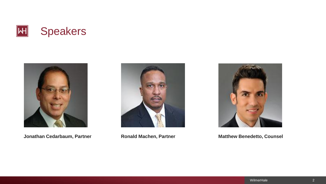



**Jonathan Cedarbaum, Partner Ronald Machen, Partner Matthew Benedetto, Counsel**



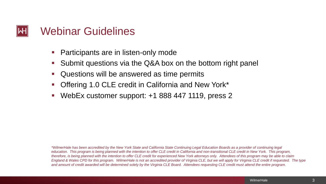

- Participants are in listen-only mode
- Submit questions via the Q&A box on the bottom right panel
- Questions will be answered as time permits
- Offering 1.0 CLE credit in California and New York\*
- WebEx customer support: +1 888 447 1119, press 2

*\*WilmerHale has been accredited by the New York State and California State Continuing Legal Education Boards as a provider of continuing legal education. This program is being planned with the intention to offer CLE credit in California and non-transitional CLE credit in New York. This program, therefore, is being planned with the intention to offer CLE credit for experienced New York attorneys only. Attendees of this program may be able to claim England & Wales CPD for this program. WilmerHale is not an accredited provider of Virginia CLE, but we will apply for Virginia CLE credit if requested. The type and amount of credit awarded will be determined solely by the Virginia CLE Board. Attendees requesting CLE credit must attend the entire program.*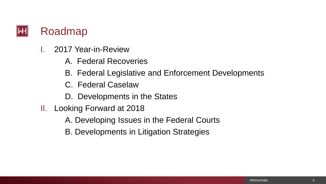

- I. 2017 Year-in-Review
	- A. Federal Recoveries
	- B. Federal Legislative and Enforcement Developments
	- C. Federal Caselaw
	- D. Developments in the States
- II. Looking Forward at 2018
	- A. Developing Issues in the Federal Courts
	- B. Developments in Litigation Strategies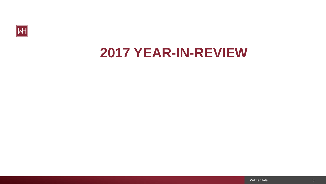

## **2017 YEAR-IN-REVIEW**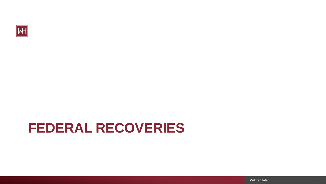

# **FEDERAL RECOVERIES**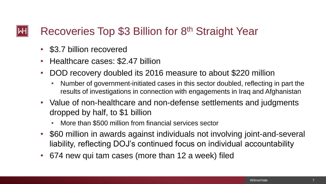### Recoveries Top \$3 Billion for 8<sup>th</sup> Straight Year

- \$3.7 billion recovered
- Healthcare cases: \$2.47 billion
- DOD recovery doubled its 2016 measure to about \$220 million
	- Number of government-initiated cases in this sector doubled, reflecting in part the results of investigations in connection with engagements in Iraq and Afghanistan
- Value of non-healthcare and non-defense settlements and judgments dropped by half, to \$1 billion
	- More than \$500 million from financial services sector
- \$60 million in awards against individuals not involving joint-and-several liability, reflecting DOJ's continued focus on individual accountability
- 674 new qui tam cases (more than 12 a week) filed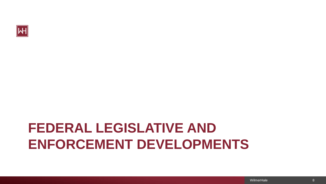

# **FEDERAL LEGISLATIVE AND ENFORCEMENT DEVELOPMENTS**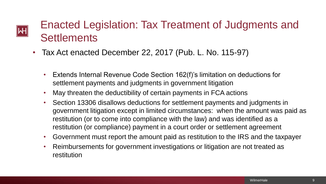# $|\mathsf{H}|$

## Enacted Legislation: Tax Treatment of Judgments and **Settlements**

- Tax Act enacted December 22, 2017 (Pub. L. No. 115-97)
	- Extends Internal Revenue Code Section 162(f)'s limitation on deductions for settlement payments and judgments in government litigation
	- May threaten the deductibility of certain payments in FCA actions
	- Section 13306 disallows deductions for settlement payments and judgments in government litigation except in limited circumstances: when the amount was paid as restitution (or to come into compliance with the law) and was identified as a restitution (or compliance) payment in a court order or settlement agreement
	- Government must report the amount paid as restitution to the IRS and the taxpayer
	- Reimbursements for government investigations or litigation are not treated as restitution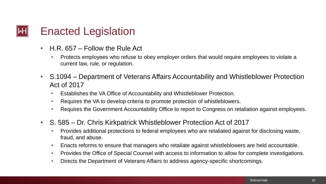### Enacted Legislation

- H.R. 657 Follow the Rule Act
	- Protects employees who refuse to obey employer orders that would require employees to violate a current law, rule, or regulation.
- S.1094 Department of Veterans Affairs Accountability and Whistleblower Protection Act of 2017
	- Establishes the VA Office of Accountability and Whistleblower Protection.
	- Requires the VA to develop criteria to promote protection of whistleblowers.
	- Requires the Government Accountability Office to report to Congress on retaliation against employees.
- S. 585 Dr. Chris Kirkpatrick Whistleblower Protection Act of 2017
	- Provides additional protections to federal employees who are retaliated against for disclosing waste, fraud, and abuse.
	- Enacts reforms to ensure that managers who retaliate against whistleblowers are held accountable.
	- Provides the Office of Special Counsel with access to information to allow for complete investigations.
	- Directs the Department of Veterans Affairs to address agency-specific shortcomings.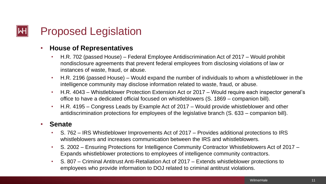## Proposed Legislation

#### • **House of Representatives**

- H.R. 702 (passed House) Federal Employee Antidiscrimination Act of 2017 Would prohibit nondisclosure agreements that prevent federal employees from disclosing violations of law or instances of waste, fraud, or abuse.
- H.R. 2196 (passed House) Would expand the number of individuals to whom a whistleblower in the intelligence community may disclose information related to waste, fraud, or abuse.
- H.R. 4043 Whistleblower Protection Extension Act or 2017 Would require each inspector general's office to have a dedicated official focused on whistleblowers (S. 1869 – companion bill).
- H.R. 4195 Congress Leads by Example Act of 2017 Would provide whistleblower and other antidiscrimination protections for employees of the legislative branch (S. 633 – companion bill).

#### • **Senate**

- S. 762 IRS Whistleblower Improvements Act of 2017 Provides additional protections to IRS whistleblowers and increases communication between the IRS and whistleblowers.
- S. 2002 Ensuring Protections for Intelligence Community Contractor Whistleblowers Act of 2017 Expands whistleblower protections to employees of intelligence community contractors.
- S. 807 Criminal Antitrust Anti-Retaliation Act of 2017 Extends whistleblower protections to employees who provide information to DOJ related to criminal antitrust violations.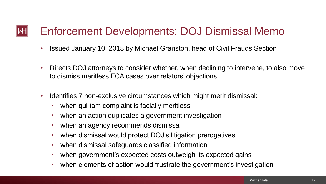#### Enforcement Developments: DOJ Dismissal Memo WН

- Issued January 10, 2018 by Michael Granston, head of Civil Frauds Section
- Directs DOJ attorneys to consider whether, when declining to intervene, to also move to dismiss meritless FCA cases over relators' objections
- Identifies 7 non-exclusive circumstances which might merit dismissal:
	- when qui tam complaint is facially meritless
	- when an action duplicates a government investigation
	- when an agency recommends dismissal
	- when dismissal would protect DOJ's litigation prerogatives
	- when dismissal safeguards classified information
	- when government's expected costs outweigh its expected gains
	- when elements of action would frustrate the government's investigation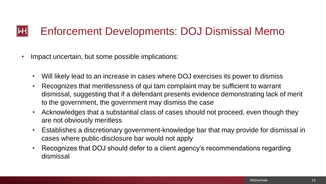#### Enforcement Developments: DOJ Dismissal Memo WН

- Impact uncertain, but some possible implications:
	- Will likely lead to an increase in cases where DOJ exercises its power to dismiss
	- Recognizes that meritlessness of qui tam complaint may be sufficient to warrant dismissal, suggesting that if a defendant presents evidence demonstrating lack of merit to the government, the government may dismiss the case
	- Acknowledges that a substantial class of cases should not proceed, even though they are not obviously meritless
	- Establishes a discretionary government-knowledge bar that may provide for dismissal in cases where public-disclosure bar would not apply
	- Recognizes that DOJ should defer to a client agency's recommendations regarding dismissal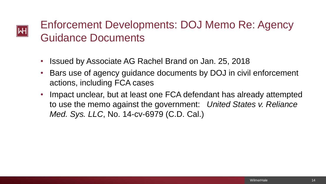## Enforcement Developments: DOJ Memo Re: Agency Guidance Documents

• Issued by Associate AG Rachel Brand on Jan. 25, 2018

∥WH

- Bars use of agency guidance documents by DOJ in civil enforcement actions, including FCA cases
- Impact unclear, but at least one FCA defendant has already attempted to use the memo against the government: *United States v. Reliance Med. Sys. LLC*, No. 14-cv-6979 (C.D. Cal.)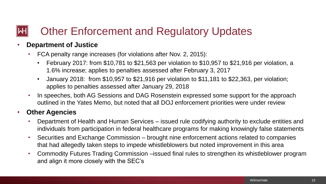### Other Enforcement and Regulatory Updates

#### • **Department of Justice**

- FCA penalty range increases (for violations after Nov. 2, 2015):
	- February 2017: from \$10,781 to \$21,563 per violation to \$10,957 to \$21,916 per violation, a 1.6% increase; applies to penalties assessed after February 3, 2017
	- January 2018: from \$10,957 to \$21,916 per violation to \$11,181 to \$22,363, per violation; applies to penalties assessed after January 29, 2018
- In speeches, both AG Sessions and DAG Rosenstein expressed some support for the approach outlined in the Yates Memo, but noted that all DOJ enforcement priorities were under review

#### • **Other Agencies**

- Department of Health and Human Services issued rule codifying authority to exclude entities and individuals from participation in federal healthcare programs for making knowingly false statements
- Securities and Exchange Commission brought nine enforcement actions related to companies that had allegedly taken steps to impede whistleblowers but noted improvement in this area
- Commodity Futures Trading Commission –issued final rules to strengthen its whistleblower program and align it more closely with the SEC's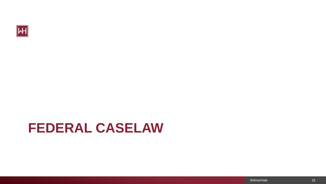

## **FEDERAL CASELAW**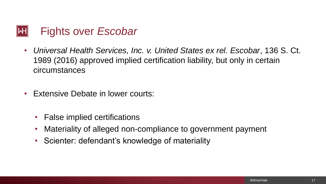

- *Universal Health Services, Inc. v. United States ex rel. Escobar*, 136 S. Ct. 1989 (2016) approved implied certification liability, but only in certain circumstances
- Extensive Debate in lower courts:
	- False implied certifications
	- Materiality of alleged non-compliance to government payment
	- Scienter: defendant's knowledge of materiality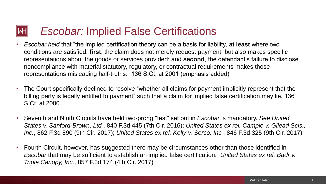### **Escobar: Implied False Certifications**

- *Escobar held* that "the implied certification theory can be a basis for liability, **at least** where two conditions are satisfied: **first**, the claim does not merely request payment, but also makes specific representations about the goods or services provided; and **second**, the defendant's failure to disclose noncompliance with material statutory, regulatory, or contractual requirements makes those representations misleading half-truths." 136 S.Ct. at 2001 (emphasis added)
- The Court specifically declined to resolve "whether all claims for payment implicitly represent that the billing party is legally entitled to payment" such that a claim for implied false certification may lie. 136 S.Ct. at 2000
- Seventh and Ninth Circuits have held two-prong "test" set out in *Escobar* is mandatory. *See United States v. Sanford-Brown, Ltd.*, 840 F.3d 445 (7th Cir. 2016); *United States ex rel. Campie v. Gilead Scis., Inc.*, 862 F.3d 890 (9th Cir. 2017); *United States ex rel. Kelly v. Serco, Inc.*, 846 F.3d 325 (9th Cir. 2017)
- Fourth Circuit, however, has suggested there may be circumstances other than those identified in *Escobar* that may be sufficient to establish an implied false certification. *United States ex rel. Badr v. Triple Canopy, Inc.*, 857 F.3d 174 (4th Cir. 2017)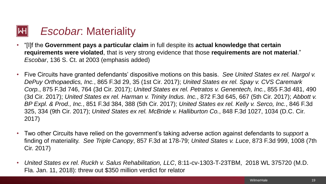### *Escobar*: Materiality

- "[I]f the **Government pays a particular claim** in full despite its **actual knowledge that certain requirements were violated**, that is very strong evidence that those **requirements are not material**." *Escobar*, 136 S. Ct. at 2003 (emphasis added)
- Five Circuits have granted defendants' dispositive motions on this basis. *See United States ex rel. Nargol v. DePuy Orthopaedics, Inc.*, 865 F.3d 29, 35 (1st Cir. 2017); *United States ex rel. Spay v. CVS Caremark Corp.*, 875 F.3d 746, 764 (3d Cir. 2017); *United States ex rel. Petratos v. Genentech, Inc.*, 855 F.3d 481, 490 (3d Cir. 2017); *United States ex rel. Harman v. Trinity Indus. Inc.*, 872 F.3d 645, 667 (5th Cir. 2017); *Abbott v. BP Expl. & Prod., Inc.*, 851 F.3d 384, 388 (5th Cir. 2017); *United States ex rel. Kelly v. Serco, Inc.*, 846 F.3d 325, 334 (9th Cir. 2017); *United States ex rel. McBride v. Halliburton Co.*, 848 F.3d 1027, 1034 (D.C. Cir. 2017)
- Two other Circuits have relied on the government's taking adverse action against defendants to *support* a finding of materiality. *See Triple Canopy*, 857 F.3d at 178-79; *United States v. Luce*, 873 F.3d 999, 1008 (7th Cir. 2017)
- *United States ex rel. Ruckh v. Salus Rehabilitation, LLC*, 8:11-cv-1303-T-23TBM, 2018 WL 375720 (M.D. Fla. Jan. 11, 2018): threw out \$350 million verdict for relator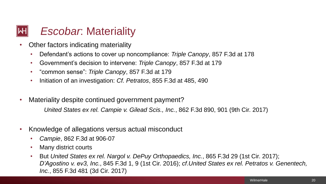### *Escobar*: Materiality

- Other factors indicating materiality
	- Defendant's actions to cover up noncompliance: *Triple Canopy*, 857 F.3d at 178
	- Government's decision to intervene: *Triple Canopy*, 857 F.3d at 179
	- "common sense": *Triple Canopy*, 857 F.3d at 179
	- Initiation of an investigation: *Cf. Petratos*, 855 F.3d at 485, 490
- Materiality despite continued government payment?

*United States ex rel. Campie v. Gilead Scis., Inc.*, 862 F.3d 890, 901 (9th Cir. 2017)

- Knowledge of allegations versus actual misconduct
	- *Campie*, 862 F.3d at 906-07
	- Many district courts
	- But *United States ex rel. Nargol v. DePuy Orthopaedics, Inc.*, 865 F.3d 29 (1st Cir. 2017); *D'Agostino v. ev3, Inc.*, 845 F.3d 1, 9 (1st Cir. 2016); *cf*.*United States ex rel. Petratos v. Genentech, Inc.*, 855 F.3d 481 (3d Cir. 2017)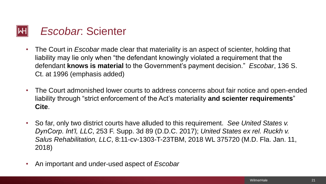

- The Court in *Escobar* made clear that materiality is an aspect of scienter, holding that liability may lie only when "the defendant knowingly violated a requirement that the defendant **knows is material** to the Government's payment decision." *Escobar*, 136 S. Ct. at 1996 (emphasis added)
- The Court admonished lower courts to address concerns about fair notice and open-ended liability through "strict enforcement of the Act's materiality **and scienter requirements**" **Cite**.
- So far, only two district courts have alluded to this requirement. *See United States v. DynCorp. Int'l, LLC*, 253 F. Supp. 3d 89 (D.D.C. 2017); *United States ex rel. Ruckh v. Salus Rehabilitation, LLC*, 8:11-cv-1303-T-23TBM, 2018 WL 375720 (M.D. Fla. Jan. 11, 2018)
- An important and under-used aspect of *Escobar*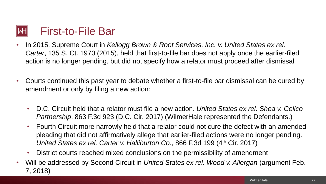

- In 2015, Supreme Court in *Kellogg Brown & Root Services, Inc. v. United States ex rel. Carter*, 135 S. Ct. 1970 (2015), held that first-to-file bar does not apply once the earlier-filed action is no longer pending, but did not specify how a relator must proceed after dismissal
- Courts continued this past year to debate whether a first-to-file bar dismissal can be cured by amendment or only by filing a new action:
	- D.C. Circuit held that a relator must file a new action. *United States ex rel. Shea v. Cellco Partnership*, 863 F.3d 923 (D.C. Cir. 2017) (WilmerHale represented the Defendants.)
	- Fourth Circuit more narrowly held that a relator could not cure the defect with an amended pleading that did not affirmatively allege that earlier-filed actions were no longer pending. *United States ex rel. Carter v. Halliburton Co.*, 866 F.3d 199 (4<sup>th</sup> Cir. 2017)
	- District courts reached mixed conclusions on the permissibility of amendment
- Will be addressed by Second Circuit in *United States ex rel. Wood v. Allergan* (argument Feb. 7, 2018)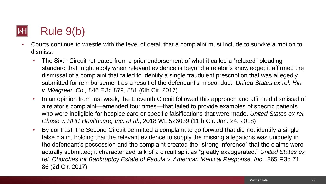## Rule 9(b)

- Courts continue to wrestle with the level of detail that a complaint must include to survive a motion to dismiss:
	- The Sixth Circuit retreated from a prior endorsement of what it called a "relaxed" pleading standard that might apply when relevant evidence is beyond a relator's knowledge; it affirmed the dismissal of a complaint that failed to identify a single fraudulent prescription that was allegedly submitted for reimbursement as a result of the defendant's misconduct. *United States ex rel. Hirt v. Walgreen Co.,* 846 F.3d 879, 881 (6th Cir. 2017)
	- In an opinion from last week, the Eleventh Circuit followed this approach and affirmed dismissal of a relator's complaint—amended four times—that failed to provide examples of specific patients who were ineligible for hospice care or specific falsifications that were made. *United States ex rel. Chase v. HPC Healthcare, Inc. et al*., 2018 WL 526039 (11th Cir. Jan. 24, 2018)
	- By contrast, the Second Circuit permitted a complaint to go forward that did not identify a single false claim, holding that the relevant evidence to supply the missing allegations was uniquely in the defendant's possession and the complaint created the "strong inference" that the claims were actually submitted; it characterized talk of a circuit split as "greatly exaggerated." *United States ex rel. Chorches for Bankruptcy Estate of Fabula v. American Medical Response, Inc.*, 865 F.3d 71, 86 (2d Cir. 2017)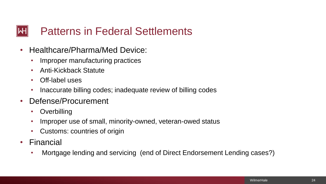#### Patterns in Federal Settlements

- Healthcare/Pharma/Med Device:
	- Improper manufacturing practices
	- Anti-Kickback Statute
	- Off-label uses
	- Inaccurate billing codes; inadequate review of billing codes
- Defense/Procurement
	- Overbilling
	- Improper use of small, minority-owned, veteran-owed status
	- Customs: countries of origin
- Financial
	- Mortgage lending and servicing (end of Direct Endorsement Lending cases?)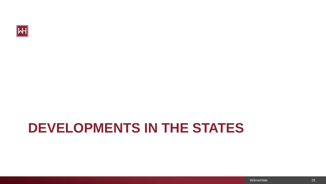

# **DEVELOPMENTS IN THE STATES**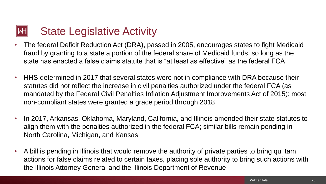### State Legislative Activity

- The federal Deficit Reduction Act (DRA), passed in 2005, encourages states to fight Medicaid fraud by granting to a state a portion of the federal share of Medicaid funds, so long as the state has enacted a false claims statute that is "at least as effective" as the federal FCA
- HHS determined in 2017 that several states were not in compliance with DRA because their statutes did not reflect the increase in civil penalties authorized under the federal FCA (as mandated by the Federal Civil Penalties Inflation Adjustment Improvements Act of 2015); most non-compliant states were granted a grace period through 2018
- In 2017, Arkansas, Oklahoma, Maryland, California, and Illinois amended their state statutes to align them with the penalties authorized in the federal FCA; similar bills remain pending in North Carolina, Michigan, and Kansas
- A bill is pending in Illinois that would remove the authority of private parties to bring qui tam actions for false claims related to certain taxes, placing sole authority to bring such actions with the Illinois Attorney General and the Illinois Department of Revenue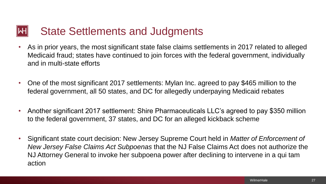#### State Settlements and Judgments

- As in prior years, the most significant state false claims settlements in 2017 related to alleged Medicaid fraud; states have continued to join forces with the federal government, individually and in multi-state efforts
- One of the most significant 2017 settlements: Mylan Inc. agreed to pay \$465 million to the federal government, all 50 states, and DC for allegedly underpaying Medicaid rebates
- Another significant 2017 settlement: Shire Pharmaceuticals LLC's agreed to pay \$350 million to the federal government, 37 states, and DC for an alleged kickback scheme
- Significant state court decision: New Jersey Supreme Court held in *Matter of Enforcement of New Jersey False Claims Act Subpoenas* that the NJ False Claims Act does not authorize the NJ Attorney General to invoke her subpoena power after declining to intervene in a qui tam action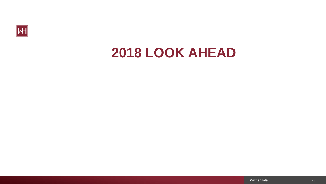

## **2018 LOOK AHEAD**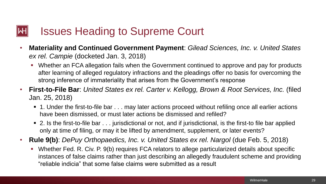### Issues Heading to Supreme Court

- **Materiality and Continued Government Payment**: *Gilead Sciences, Inc. v. United States ex rel. Campie* (docketed Jan. 3, 2018)
	- Whether an FCA allegation fails when the Government continued to approve and pay for products after learning of alleged regulatory infractions and the pleadings offer no basis for overcoming the strong inference of immateriality that arises from the Government's response
- **First-to-File Bar**: *United States ex rel. Carter v. Kellogg, Brown & Root Services, Inc.* (filed Jan. 25, 2018)
	- 1. Under the first-to-file bar . . . may later actions proceed without refiling once all earlier actions have been dismissed, or must later actions be dismissed and refiled?
	- 2. Is the first-to-file bar . . . jurisdictional or not, and if jurisdictional, is the first-to file bar applied only at time of filing, or may it be lifted by amendment, supplement, or later events?
- **Rule 9(b)**: *DePuy Orthopaedics, Inc. v. United States ex rel. Nargol* (due Feb. 5, 2018)
	- Whether Fed. R. Civ. P. 9(b) requires FCA relators to allege particularized details about specific instances of false claims rather than just describing an allegedly fraudulent scheme and providing "reliable indicia" that some false claims were submitted as a result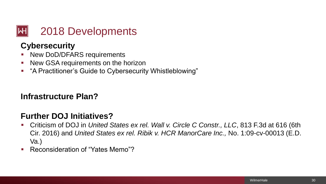

#### **Cybersecurity**

- New DoD/DFARS requirements
- New GSA requirements on the horizon
- "A Practitioner's Guide to Cybersecurity Whistleblowing"

#### **Infrastructure Plan?**

#### **Further DOJ Initiatives?**

- Criticism of DOJ in *United States ex rel. Wall v. Circle C Constr., LLC*, 813 F.3d at 616 (6th Cir. 2016) and *United States ex rel. Ribik v. HCR ManorCare Inc.,* No. 1:09-cv-00013 (E.D. Va.)
- Reconsideration of "Yates Memo"?